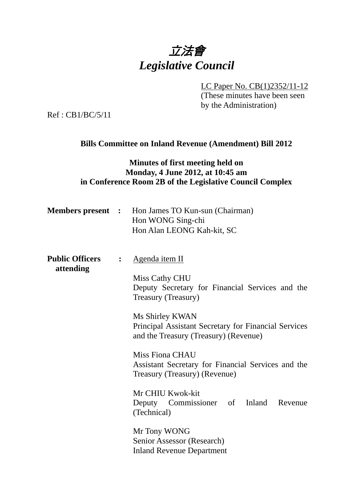# 立法會 *Legislative Council*

LC Paper No. CB(1)2352/11-12

(These minutes have been seen by the Administration)

Ref : CB1/BC/5/11

## **Bills Committee on Inland Revenue (Amendment) Bill 2012**

## **Minutes of first meeting held on Monday, 4 June 2012, at 10:45 am in Conference Room 2B of the Legislative Council Complex**

| <b>Members present :</b>            |                | Hon James TO Kun-sun (Chairman)<br>Hon WONG Sing-chi<br>Hon Alan LEONG Kah-kit, SC                                                                                                                                                                                                                                                                                                                                                          |
|-------------------------------------|----------------|---------------------------------------------------------------------------------------------------------------------------------------------------------------------------------------------------------------------------------------------------------------------------------------------------------------------------------------------------------------------------------------------------------------------------------------------|
| <b>Public Officers</b><br>attending | $\ddot{\cdot}$ | <u>Agenda item II</u><br>Miss Cathy CHU<br>Deputy Secretary for Financial Services and the<br>Treasury (Treasury)<br>Ms Shirley KWAN<br>Principal Assistant Secretary for Financial Services<br>and the Treasury (Treasury) (Revenue)<br>Miss Fiona CHAU<br>Assistant Secretary for Financial Services and the<br>Treasury (Treasury) (Revenue)<br>Mr CHIU Kwok-kit<br>Deputy Commissioner of Inland Revenue<br>(Technical)<br>Mr Tony WONG |
|                                     |                | Senior Assessor (Research)<br><b>Inland Revenue Department</b>                                                                                                                                                                                                                                                                                                                                                                              |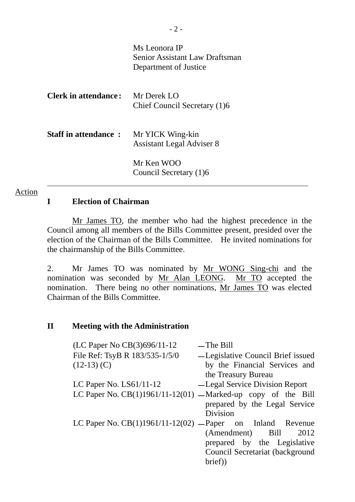|                             | Ms Leonora IP<br>Senior Assistant Law Draftsman<br>Department of Justice |
|-----------------------------|--------------------------------------------------------------------------|
| Clerk in attendance:        | Mr Derek LO<br>Chief Council Secretary (1)6                              |
| <b>Staff in attendance:</b> | Mr YICK Wing-kin<br><b>Assistant Legal Adviser 8</b>                     |
|                             | Mr Ken WOO<br>Council Secretary (1)6                                     |

## **I Election of Chairman**

Action

 Mr James TO, the member who had the highest precedence in the Council among all members of the Bills Committee present, presided over the election of the Chairman of the Bills Committee. He invited nominations for the chairmanship of the Bills Committee.

2. Mr James TO was nominated by Mr WONG Sing-chi and the nomination was seconded by Mr Alan LEONG. Mr TO accepted the nomination. There being no other nominations, Mr James TO was elected Chairman of the Bills Committee.

### **II Meeting with the Administration**

| (LC Paper No CB(3)696/11-12                                    | $-$ The Bill                      |
|----------------------------------------------------------------|-----------------------------------|
| File Ref: TsyB R 183/535-1/5/0                                 | -Legislative Council Brief issued |
| $(12-13)$ (C)                                                  | by the Financial Services and     |
|                                                                | the Treasury Bureau               |
| LC Paper No. $LS61/11-12$                                      | -Legal Service Division Report    |
| LC Paper No. $CB(1)1961/11-12(01)$ —Marked-up copy of the Bill |                                   |
|                                                                | prepared by the Legal Service     |
|                                                                | Division                          |
| LC Paper No. $CB(1)1961/11-12(02)$ — Paper on Inland Revenue   |                                   |
|                                                                | (Amendment) Bill<br>2012          |
|                                                                | prepared by the Legislative       |
|                                                                | Council Secretariat (background   |
|                                                                | brief)                            |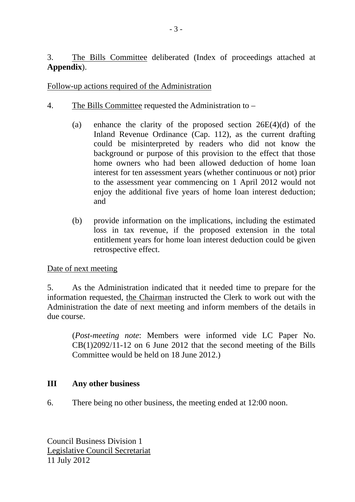3. The Bills Committee deliberated (Index of proceedings attached at **Appendix**).

## Follow-up actions required of the Administration

- 4. The Bills Committee requested the Administration to
	- (a) enhance the clarity of the proposed section 26E(4)(d) of the Inland Revenue Ordinance (Cap. 112), as the current drafting could be misinterpreted by readers who did not know the background or purpose of this provision to the effect that those home owners who had been allowed deduction of home loan interest for ten assessment years (whether continuous or not) prior to the assessment year commencing on 1 April 2012 would not enjoy the additional five years of home loan interest deduction; and
	- (b) provide information on the implications, including the estimated loss in tax revenue, if the proposed extension in the total entitlement years for home loan interest deduction could be given retrospective effect.

## Date of next meeting

5. As the Administration indicated that it needed time to prepare for the information requested, the Chairman instructed the Clerk to work out with the Administration the date of next meeting and inform members of the details in due course.

(*Post-meeting note*: Members were informed vide LC Paper No.  $CB(1)2092/11-12$  on 6 June 2012 that the second meeting of the Bills Committee would be held on 18 June 2012.)

## **III Any other business**

6. There being no other business, the meeting ended at 12:00 noon.

Council Business Division 1 Legislative Council Secretariat 11 July 2012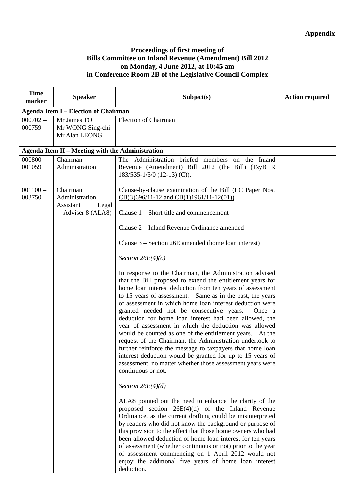#### **Proceedings of first meeting of Bills Committee on Inland Revenue (Amendment) Bill 2012 on Monday, 4 June 2012, at 10:45 am in Conference Room 2B of the Legislative Council Complex**

| <b>Time</b><br>marker | <b>Speaker</b>                                                       | Subject(s)                                                                                                                                                                                                                                                                                                                                                                                                                                                                                                                                                                                                                                                                                                                                                                                                                                                                                                                                                                                                                                                                                                                                                                                                                                                                                                                                                                                                                                                                                                                                                                                                                                                                                                 | <b>Action required</b> |  |
|-----------------------|----------------------------------------------------------------------|------------------------------------------------------------------------------------------------------------------------------------------------------------------------------------------------------------------------------------------------------------------------------------------------------------------------------------------------------------------------------------------------------------------------------------------------------------------------------------------------------------------------------------------------------------------------------------------------------------------------------------------------------------------------------------------------------------------------------------------------------------------------------------------------------------------------------------------------------------------------------------------------------------------------------------------------------------------------------------------------------------------------------------------------------------------------------------------------------------------------------------------------------------------------------------------------------------------------------------------------------------------------------------------------------------------------------------------------------------------------------------------------------------------------------------------------------------------------------------------------------------------------------------------------------------------------------------------------------------------------------------------------------------------------------------------------------------|------------------------|--|
|                       | <b>Agenda Item I - Election of Chairman</b>                          |                                                                                                                                                                                                                                                                                                                                                                                                                                                                                                                                                                                                                                                                                                                                                                                                                                                                                                                                                                                                                                                                                                                                                                                                                                                                                                                                                                                                                                                                                                                                                                                                                                                                                                            |                        |  |
| $000702 -$<br>000759  | Mr James TO<br>Mr WONG Sing-chi<br>Mr Alan LEONG                     | <b>Election of Chairman</b>                                                                                                                                                                                                                                                                                                                                                                                                                                                                                                                                                                                                                                                                                                                                                                                                                                                                                                                                                                                                                                                                                                                                                                                                                                                                                                                                                                                                                                                                                                                                                                                                                                                                                |                        |  |
|                       | Agenda Item II - Meeting with the Administration                     |                                                                                                                                                                                                                                                                                                                                                                                                                                                                                                                                                                                                                                                                                                                                                                                                                                                                                                                                                                                                                                                                                                                                                                                                                                                                                                                                                                                                                                                                                                                                                                                                                                                                                                            |                        |  |
| $000800 -$<br>001059  | Chairman<br>Administration                                           | The Administration briefed members on the Inland<br>Revenue (Amendment) Bill 2012 (the Bill) (TsyB R<br>$183/535 - 1/5/0$ (12-13) (C)).                                                                                                                                                                                                                                                                                                                                                                                                                                                                                                                                                                                                                                                                                                                                                                                                                                                                                                                                                                                                                                                                                                                                                                                                                                                                                                                                                                                                                                                                                                                                                                    |                        |  |
| $001100 -$<br>003750  | Chairman<br>Administration<br>Assistant<br>Legal<br>Adviser 8 (ALA8) | Clause-by-clause examination of the Bill (LC Paper Nos.<br>$CB(3)696/11-12$ and $CB(1)1961/11-12(01))$<br>Clause $1$ – Short title and commencement<br>Clause 2 - Inland Revenue Ordinance amended<br>Clause $3 -$ Section 26E amended (home loan interest)<br>Section $26E(4)(c)$<br>In response to the Chairman, the Administration advised<br>that the Bill proposed to extend the entitlement years for<br>home loan interest deduction from ten years of assessment<br>to 15 years of assessment. Same as in the past, the years<br>of assessment in which home loan interest deduction were<br>granted needed not be consecutive years.<br>Once a<br>deduction for home loan interest had been allowed, the<br>year of assessment in which the deduction was allowed<br>would be counted as one of the entitlement years. At the<br>request of the Chairman, the Administration undertook to<br>further reinforce the message to taxpayers that home loan<br>interest deduction would be granted for up to 15 years of<br>assessment, no matter whether those assessment years were<br>continuous or not.<br>Section $26E(4)(d)$<br>ALA8 pointed out the need to enhance the clarity of the<br>proposed section $26E(4)(d)$ of the Inland Revenue<br>Ordinance, as the current drafting could be misinterpreted<br>by readers who did not know the background or purpose of<br>this provision to the effect that those home owners who had<br>been allowed deduction of home loan interest for ten years<br>of assessment (whether continuous or not) prior to the year<br>of assessment commencing on 1 April 2012 would not<br>enjoy the additional five years of home loan interest<br>deduction. |                        |  |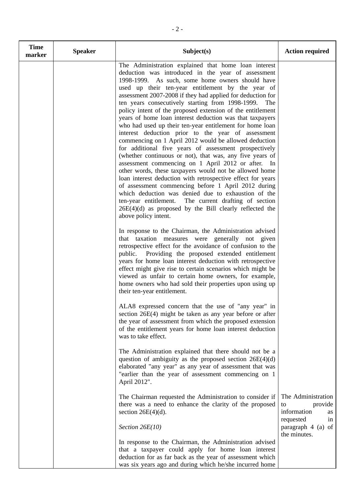| <b>Time</b><br>marker | <b>Speaker</b> | Subject(s)                                                                                                                                                                                                                                                                                                                                                                                                                                                                                                                                                                                                                                                                                                                                                                                                                                                                                                                                                                                                                                                                                                                                                                                                        | <b>Action required</b>                                                      |
|-----------------------|----------------|-------------------------------------------------------------------------------------------------------------------------------------------------------------------------------------------------------------------------------------------------------------------------------------------------------------------------------------------------------------------------------------------------------------------------------------------------------------------------------------------------------------------------------------------------------------------------------------------------------------------------------------------------------------------------------------------------------------------------------------------------------------------------------------------------------------------------------------------------------------------------------------------------------------------------------------------------------------------------------------------------------------------------------------------------------------------------------------------------------------------------------------------------------------------------------------------------------------------|-----------------------------------------------------------------------------|
|                       |                | The Administration explained that home loan interest<br>deduction was introduced in the year of assessment<br>1998-1999. As such, some home owners should have<br>used up their ten-year entitlement by the year of<br>assessment 2007-2008 if they had applied for deduction for<br>ten years consecutively starting from 1998-1999.<br>The<br>policy intent of the proposed extension of the entitlement<br>years of home loan interest deduction was that taxpayers<br>who had used up their ten-year entitlement for home loan<br>interest deduction prior to the year of assessment<br>commencing on 1 April 2012 would be allowed deduction<br>for additional five years of assessment prospectively<br>(whether continuous or not), that was, any five years of<br>assessment commencing on 1 April 2012 or after. In<br>other words, these taxpayers would not be allowed home<br>loan interest deduction with retrospective effect for years<br>of assessment commencing before 1 April 2012 during<br>which deduction was denied due to exhaustion of the<br>ten-year entitlement. The current drafting of section<br>$26E(4)(d)$ as proposed by the Bill clearly reflected the<br>above policy intent. |                                                                             |
|                       |                | In response to the Chairman, the Administration advised<br>that taxation measures were generally not given<br>retrospective effect for the avoidance of confusion to the<br>public.<br>Providing the proposed extended entitlement<br>years for home loan interest deduction with retrospective<br>effect might give rise to certain scenarios which might be<br>viewed as unfair to certain home owners, for example,<br>home owners who had sold their properties upon using up<br>their ten-year entitlement.                                                                                                                                                                                                                                                                                                                                                                                                                                                                                                                                                                                                                                                                                                  |                                                                             |
|                       |                | ALA8 expressed concern that the use of "any year" in<br>section 26E(4) might be taken as any year before or after<br>the year of assessment from which the proposed extension<br>of the entitlement years for home loan interest deduction<br>was to take effect.                                                                                                                                                                                                                                                                                                                                                                                                                                                                                                                                                                                                                                                                                                                                                                                                                                                                                                                                                 |                                                                             |
|                       |                | The Administration explained that there should not be a<br>question of ambiguity as the proposed section $26E(4)(d)$<br>elaborated "any year" as any year of assessment that was<br>"earlier than the year of assessment commencing on 1<br>April 2012".                                                                                                                                                                                                                                                                                                                                                                                                                                                                                                                                                                                                                                                                                                                                                                                                                                                                                                                                                          |                                                                             |
|                       |                | The Chairman requested the Administration to consider if<br>there was a need to enhance the clarity of the proposed<br>section $26E(4)(d)$ .                                                                                                                                                                                                                                                                                                                                                                                                                                                                                                                                                                                                                                                                                                                                                                                                                                                                                                                                                                                                                                                                      | The Administration<br>to<br>provide<br>information<br>as<br>requested<br>in |
|                       |                | Section $26E(10)$                                                                                                                                                                                                                                                                                                                                                                                                                                                                                                                                                                                                                                                                                                                                                                                                                                                                                                                                                                                                                                                                                                                                                                                                 | paragraph 4 (a) of<br>the minutes.                                          |
|                       |                | In response to the Chairman, the Administration advised<br>that a taxpayer could apply for home loan interest<br>deduction for as far back as the year of assessment which<br>was six years ago and during which he/she incurred home                                                                                                                                                                                                                                                                                                                                                                                                                                                                                                                                                                                                                                                                                                                                                                                                                                                                                                                                                                             |                                                                             |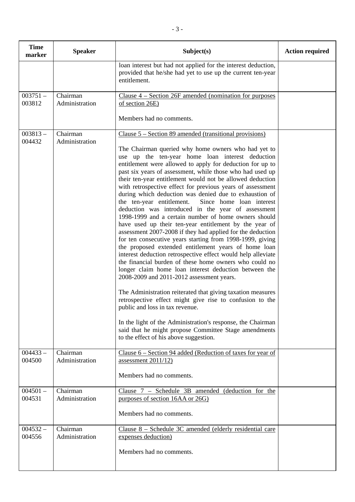| <b>Time</b><br>marker | <b>Speaker</b>             | Subject(s)                                                                                                                                                                                                                                                                                                                                                                                                                                                                                                                                                                                                                                                                                                                                                                                                                                                                                                                                                                                                                                                                                                                                                                                                                                                                                                                                                                                                                                                              | <b>Action required</b> |
|-----------------------|----------------------------|-------------------------------------------------------------------------------------------------------------------------------------------------------------------------------------------------------------------------------------------------------------------------------------------------------------------------------------------------------------------------------------------------------------------------------------------------------------------------------------------------------------------------------------------------------------------------------------------------------------------------------------------------------------------------------------------------------------------------------------------------------------------------------------------------------------------------------------------------------------------------------------------------------------------------------------------------------------------------------------------------------------------------------------------------------------------------------------------------------------------------------------------------------------------------------------------------------------------------------------------------------------------------------------------------------------------------------------------------------------------------------------------------------------------------------------------------------------------------|------------------------|
|                       |                            | loan interest but had not applied for the interest deduction,<br>provided that he/she had yet to use up the current ten-year<br>entitlement.                                                                                                                                                                                                                                                                                                                                                                                                                                                                                                                                                                                                                                                                                                                                                                                                                                                                                                                                                                                                                                                                                                                                                                                                                                                                                                                            |                        |
| $003751-$<br>003812   | Chairman<br>Administration | Clause $4$ – Section 26F amended (nomination for purposes<br>of section 26E)                                                                                                                                                                                                                                                                                                                                                                                                                                                                                                                                                                                                                                                                                                                                                                                                                                                                                                                                                                                                                                                                                                                                                                                                                                                                                                                                                                                            |                        |
|                       |                            | Members had no comments.                                                                                                                                                                                                                                                                                                                                                                                                                                                                                                                                                                                                                                                                                                                                                                                                                                                                                                                                                                                                                                                                                                                                                                                                                                                                                                                                                                                                                                                |                        |
| $003813-$<br>004432   | Chairman<br>Administration | Clause $5 -$ Section 89 amended (transitional provisions)<br>The Chairman queried why home owners who had yet to<br>use up the ten-year home loan interest deduction<br>entitlement were allowed to apply for deduction for up to<br>past six years of assessment, while those who had used up<br>their ten-year entitlement would not be allowed deduction<br>with retrospective effect for previous years of assessment<br>during which deduction was denied due to exhaustion of<br>the ten-year entitlement.<br>Since home loan interest<br>deduction was introduced in the year of assessment<br>1998-1999 and a certain number of home owners should<br>have used up their ten-year entitlement by the year of<br>assessment 2007-2008 if they had applied for the deduction<br>for ten consecutive years starting from 1998-1999, giving<br>the proposed extended entitlement years of home loan<br>interest deduction retrospective effect would help alleviate<br>the financial burden of these home owners who could no<br>longer claim home loan interest deduction between the<br>2008-2009 and 2011-2012 assessment years.<br>The Administration reiterated that giving taxation measures<br>retrospective effect might give rise to confusion to the<br>public and loss in tax revenue.<br>In the light of the Administration's response, the Chairman<br>said that he might propose Committee Stage amendments<br>to the effect of his above suggestion. |                        |
| $004433 -$<br>004500  | Chairman<br>Administration | Clause $6 -$ Section 94 added (Reduction of taxes for year of<br>assessment $2011/12$<br>Members had no comments.                                                                                                                                                                                                                                                                                                                                                                                                                                                                                                                                                                                                                                                                                                                                                                                                                                                                                                                                                                                                                                                                                                                                                                                                                                                                                                                                                       |                        |
| $004501 -$<br>004531  | Chairman<br>Administration | Clause $7$ – Schedule 3B amended (deduction for the<br>purposes of section 16AA or 26G)<br>Members had no comments.                                                                                                                                                                                                                                                                                                                                                                                                                                                                                                                                                                                                                                                                                                                                                                                                                                                                                                                                                                                                                                                                                                                                                                                                                                                                                                                                                     |                        |
| $004532 -$<br>004556  | Chairman<br>Administration | Clause $8$ – Schedule 3C amended (elderly residential care<br>expenses deduction)<br>Members had no comments.                                                                                                                                                                                                                                                                                                                                                                                                                                                                                                                                                                                                                                                                                                                                                                                                                                                                                                                                                                                                                                                                                                                                                                                                                                                                                                                                                           |                        |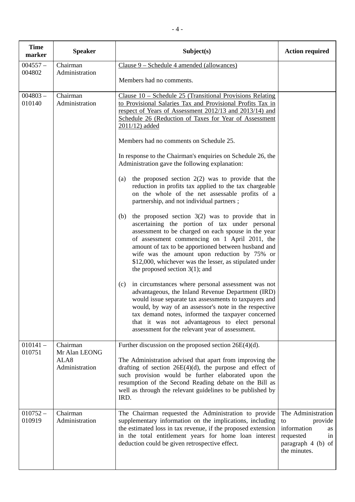| <b>Time</b><br>marker | <b>Speaker</b>                                      | Subject(s)                                                                                                                                                                                                                                                                                                                                                                                                                 | <b>Action required</b>                                                                                            |
|-----------------------|-----------------------------------------------------|----------------------------------------------------------------------------------------------------------------------------------------------------------------------------------------------------------------------------------------------------------------------------------------------------------------------------------------------------------------------------------------------------------------------------|-------------------------------------------------------------------------------------------------------------------|
| $004557 -$            | Chairman                                            | Clause 9 – Schedule 4 amended (allowances)                                                                                                                                                                                                                                                                                                                                                                                 |                                                                                                                   |
| 004802                | Administration                                      | Members had no comments.                                                                                                                                                                                                                                                                                                                                                                                                   |                                                                                                                   |
| $004803 -$<br>010140  | Chairman<br>Administration                          | Clause $10$ – Schedule 25 (Transitional Provisions Relating<br>to Provisional Salaries Tax and Provisional Profits Tax in<br>respect of Years of Assessment 2012/13 and 2013/14) and<br>Schedule 26 (Reduction of Taxes for Year of Assessment<br>$2011/12$ ) added                                                                                                                                                        |                                                                                                                   |
|                       |                                                     | Members had no comments on Schedule 25.                                                                                                                                                                                                                                                                                                                                                                                    |                                                                                                                   |
|                       |                                                     | In response to the Chairman's enquiries on Schedule 26, the<br>Administration gave the following explanation:                                                                                                                                                                                                                                                                                                              |                                                                                                                   |
|                       |                                                     | the proposed section $2(2)$ was to provide that the<br>(a)<br>reduction in profits tax applied to the tax chargeable<br>on the whole of the net assessable profits of a<br>partnership, and not individual partners;                                                                                                                                                                                                       |                                                                                                                   |
|                       |                                                     | the proposed section $3(2)$ was to provide that in<br>(b)<br>ascertaining the portion of tax under personal<br>assessment to be charged on each spouse in the year<br>of assessment commencing on 1 April 2011, the<br>amount of tax to be apportioned between husband and<br>wife was the amount upon reduction by 75% or<br>\$12,000, whichever was the lesser, as stipulated under<br>the proposed section $3(1)$ ; and |                                                                                                                   |
|                       |                                                     | in circumstances where personal assessment was not<br>(c)<br>advantageous, the Inland Revenue Department (IRD)<br>would issue separate tax assessments to taxpayers and<br>would, by way of an assessor's note in the respective<br>tax demand notes, informed the taxpayer concerned<br>that it was not advantageous to elect personal<br>assessment for the relevant year of assessment.                                 |                                                                                                                   |
| $010141 -$<br>010751  | Chairman<br>Mr Alan LEONG<br>ALA8<br>Administration | Further discussion on the proposed section 26E(4)(d).<br>The Administration advised that apart from improving the<br>drafting of section $26E(4)(d)$ , the purpose and effect of<br>such provision would be further elaborated upon the<br>resumption of the Second Reading debate on the Bill as<br>well as through the relevant guidelines to be published by<br>IRD.                                                    |                                                                                                                   |
| $010752 -$<br>010919  | Chairman<br>Administration                          | The Chairman requested the Administration to provide<br>supplementary information on the implications, including<br>the estimated loss in tax revenue, if the proposed extension<br>in the total entitlement years for home loan interest<br>deduction could be given retrospective effect.                                                                                                                                | The Administration<br>provide<br>to<br>information<br>as<br>requested<br>in<br>paragraph 4 (b) of<br>the minutes. |